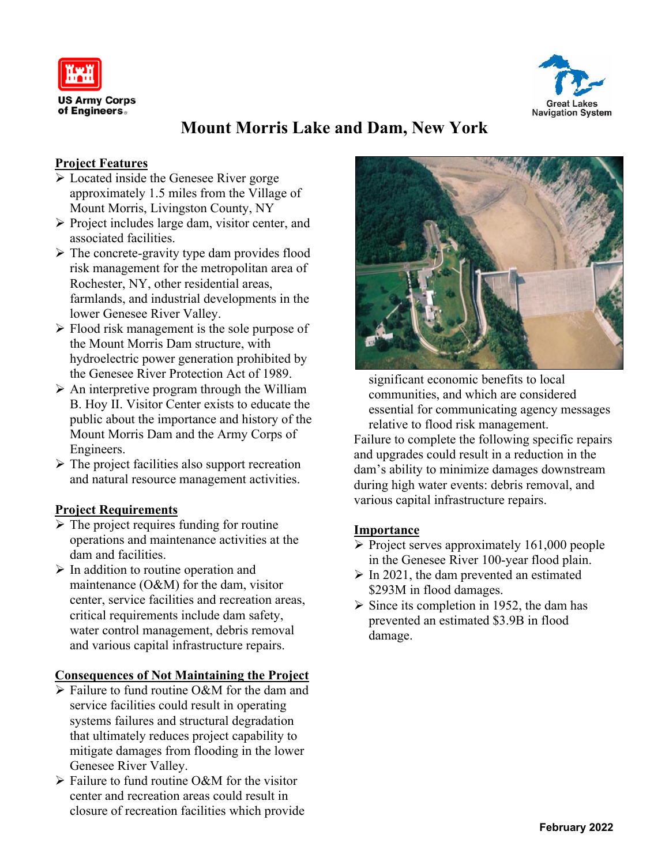



# **Mount Morris Lake and Dam, New York**

#### **Project Features**

- ➢ Located inside the Genesee River gorge approximately 1.5 miles from the Village of Mount Morris, Livingston County, NY
- ➢ Project includes large dam, visitor center, and associated facilities.
- ➢ The concrete-gravity type dam provides flood risk management for the metropolitan area of Rochester, NY, other residential areas, farmlands, and industrial developments in the lower Genesee River Valley.
- ➢ Flood risk management is the sole purpose of the Mount Morris Dam structure, with hydroelectric power generation prohibited by the Genesee River Protection Act of 1989.
- $\triangleright$  An interpretive program through the William B. Hoy II. Visitor Center exists to educate the public about the importance and history of the Mount Morris Dam and the Army Corps of Engineers.
- $\triangleright$  The project facilities also support recreation and natural resource management activities.

## **Project Requirements**

- $\triangleright$  The project requires funding for routine operations and maintenance activities at the dam and facilities.
- $\triangleright$  In addition to routine operation and maintenance (O&M) for the dam, visitor center, service facilities and recreation areas, critical requirements include dam safety, water control management, debris removal and various capital infrastructure repairs.

#### **Consequences of Not Maintaining the Project**

- ➢ Failure to fund routine O&M for the dam and service facilities could result in operating systems failures and structural degradation that ultimately reduces project capability to mitigate damages from flooding in the lower Genesee River Valley.
- ➢ Failure to fund routine O&M for the visitor center and recreation areas could result in closure of recreation facilities which provide



significant economic benefits to local communities, and which are considered essential for communicating agency messages relative to flood risk management. Failure to complete the following specific repairs and upgrades could result in a reduction in the dam's ability to minimize damages downstream during high water events: debris removal, and various capital infrastructure repairs.

#### **Importance**

- $\triangleright$  Project serves approximately 161,000 people in the Genesee River 100-year flood plain.
- $\triangleright$  In 2021, the dam prevented an estimated \$293M in flood damages.
- $\triangleright$  Since its completion in 1952, the dam has prevented an estimated \$3.9B in flood damage.